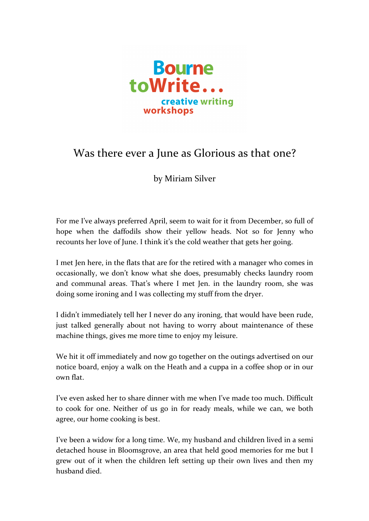

## Was there ever a June as Glorious as that one?

by Miriam Silver

For me I've always preferred April, seem to wait for it from December, so full of hope when the daffodils show their yellow heads. Not so for Jenny who recounts her love of June. I think it's the cold weather that gets her going.

I met Ien here, in the flats that are for the retired with a manager who comes in occasionally, we don't know what she does, presumably checks laundry room and communal areas. That's where I met Jen. in the laundry room, she was doing some ironing and I was collecting my stuff from the dryer.

I didn't immediately tell her I never do any ironing, that would have been rude, just talked generally about not having to worry about maintenance of these machine things, gives me more time to enjoy my leisure.

We hit it off immediately and now go together on the outings advertised on our notice board, enjoy a walk on the Heath and a cuppa in a coffee shop or in our own flat.

I've even asked her to share dinner with me when I've made too much. Difficult to cook for one. Neither of us go in for ready meals, while we can, we both agree, our home cooking is best.

I've been a widow for a long time. We, my husband and children lived in a semi detached house in Bloomsgrove, an area that held good memories for me but I grew out of it when the children left setting up their own lives and then my husband died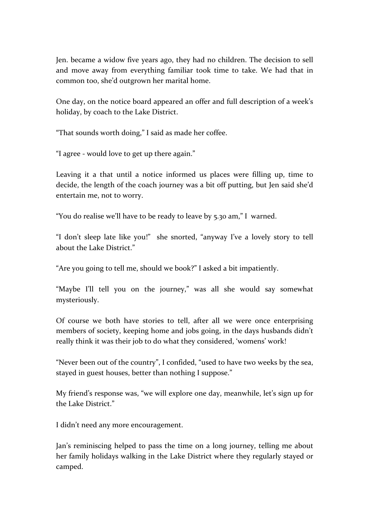Jen. became a widow five years ago, they had no children. The decision to sell and move away from everything familiar took time to take. We had that in common too, she'd outgrown her marital home.

One day, on the notice board appeared an offer and full description of a week's holiday, by coach to the Lake District.

"That sounds worth doing," I said as made her coffee.

"I agree - would love to get up there again."

Leaving it a that until a notice informed us places were filling up, time to decide, the length of the coach journey was a bit off putting, but Jen said she'd entertain me, not to worry.

"You do realise we'll have to be ready to leave by  $5.30$  am," I warned.

"I don't sleep late like you!" she snorted, "anyway I've a lovely story to tell about the Lake District."

"Are you going to tell me, should we book?" I asked a bit impatiently.

"Maybe I'll tell you on the journey," was all she would say somewhat mysteriously.

Of course we both have stories to tell, after all we were once enterprising members of society, keeping home and jobs going, in the days husbands didn't really think it was their job to do what they considered, 'womens' work!

"Never been out of the country", I confided, "used to have two weeks by the sea, stayed in guest houses, better than nothing I suppose."

My friend's response was, "we will explore one day, meanwhile, let's sign up for the Lake District."

I didn't need any more encouragement.

Jan's reminiscing helped to pass the time on a long journey, telling me about her family holidays walking in the Lake District where they regularly stayed or camped.